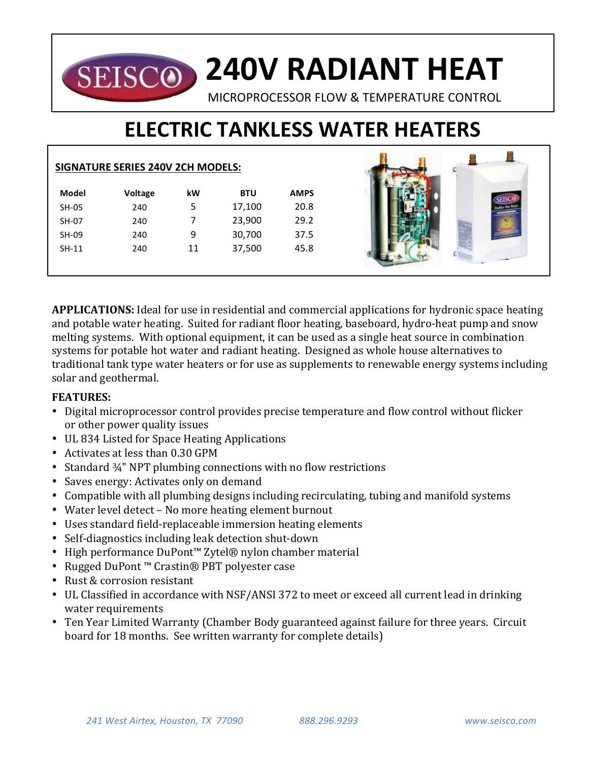## **240V RADIANT HEAT** SEISCO)

MICROPROCESSOR FLOW & TEMPERATURE CONTROL

# **ELECTRIC TANKLESS WATER HEATERS**

|              | <b>SIGNATURE SERIES 240V 2CH MODELS:</b> |    |            |             |  |
|--------------|------------------------------------------|----|------------|-------------|--|
| <b>Model</b> | <b>Voltage</b>                           | kW | <b>BTU</b> | <b>AMPS</b> |  |
| SH-05        | 240                                      | 5  | 17,100     | 20.8        |  |
| SH-07        | 240                                      | 7  | 23,900     | 29.2        |  |
| SH-09        | 240                                      | 9  | 30,700     | 37.5        |  |
| $SH-11$      | 240                                      | 11 | 37,500     | 45.8        |  |
|              |                                          |    |            |             |  |

**APPLICATIONS:** Ideal for use in residential and commercial applications for hydronic space heating and potable water heating. Suited for radiant floor heating, baseboard, hydro-heat pump and snow melting systems. With optional equipment, it can be used as a single heat source in combination systems for potable hot water and radiant heating. Designed as whole house alternatives to traditional tank type water heaters or for use as supplements to renewable energy systems including solar and geothermal.

### **FEATURES:**

- Digital microprocessor control provides precise temperature and flow control without flicker or other power quality issues
- UL 834 Listed for Space Heating Applications
- Activates at less than 0.30 GPM
- Standard  $\frac{3}{4}$ " NPT plumbing connections with no flow restrictions
- Saves energy: Activates only on demand
- Compatible with all plumbing designs including recirculating, tubing and manifold systems
- Water level detect No more heating element burnout
- Uses standard field-replaceable immersion heating elements
- Self-diagnostics including leak detection shut-down
- High performance DuPont™ Zytel® nylon chamber material
- Rugged DuPont™ Crastin® PBT polyester case
- Rust & corrosion resistant
- UL Classified in accordance with NSF/ANSI 372 to meet or exceed all current lead in drinking water requirements
- Ten Year Limited Warranty (Chamber Body guaranteed against failure for three years. Circuit board for 18 months. See written warranty for complete details)